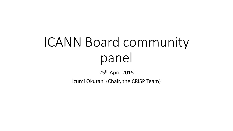# ICANN Board community panel

25th April 2015

Izumi Okutani (Chair, the CRISP Team)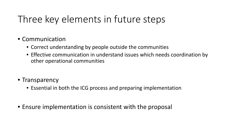# Three key elements in future steps

- Communication
	- Correct understanding by people outside the communities
	- Effective communication in understand issues which needs coordination by other operational communities
- Transparency
	- Essential in both the ICG process and preparing implementation
- Ensure implementation is consistent with the proposal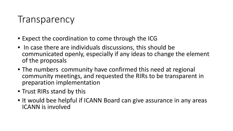#### **Transparency**

- Expect the coordination to come through the ICG
- In case there are individuals discussions, this should be communicated openly, especially if any ideas to change the element of the proposals
- The numbers community have confirmed this need at regional community meetings, and requested the RIRs to be transparent in preparation implementation
- Trust RIRs stand by this
- It would bee helpful if ICANN Board can give assurance in any areas ICANN is involved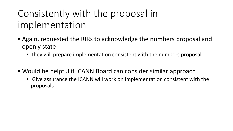# Consistently with the proposal in implementation

- Again, requested the RIRs to acknowledge the numbers proposal and openly state
	- They will prepare implementation consistent with the numbers proposal
- Would be helpful if ICANN Board can consider similar approach
	- Give assurance the ICANN will work on implementation consistent with the proposals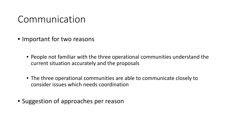#### Communication

- Important for two reasons
	- People not familiar with the three operational communities understand the current situation accurately and the proposals
	- The three operational communities are able to communicate closely to consider issues which needs coordination
- Suggestion of approaches per reason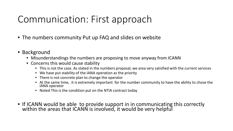## Communication: First approach

- The numbers community Put up FAQ and slides on website
- Background
	- Misunderstandings the numbers are proposing to move anyway from ICANN
	- Concerns this would cause stability
		- This is not the case. As stated in the numbers proposal, we area very satisfied with the current services
		- We have put stability of the IANA operation as the priority
		- There is not concrete plan to change the operator
		- At the same time, it is extremely important for the number community to have the ability to chose the IANA operator
		- Noted This is the condition put on the NTIA contract today
- If ICANN would be able to provide support in in communicating this correctly within the areas that ICANN is involved, it would be very helpful